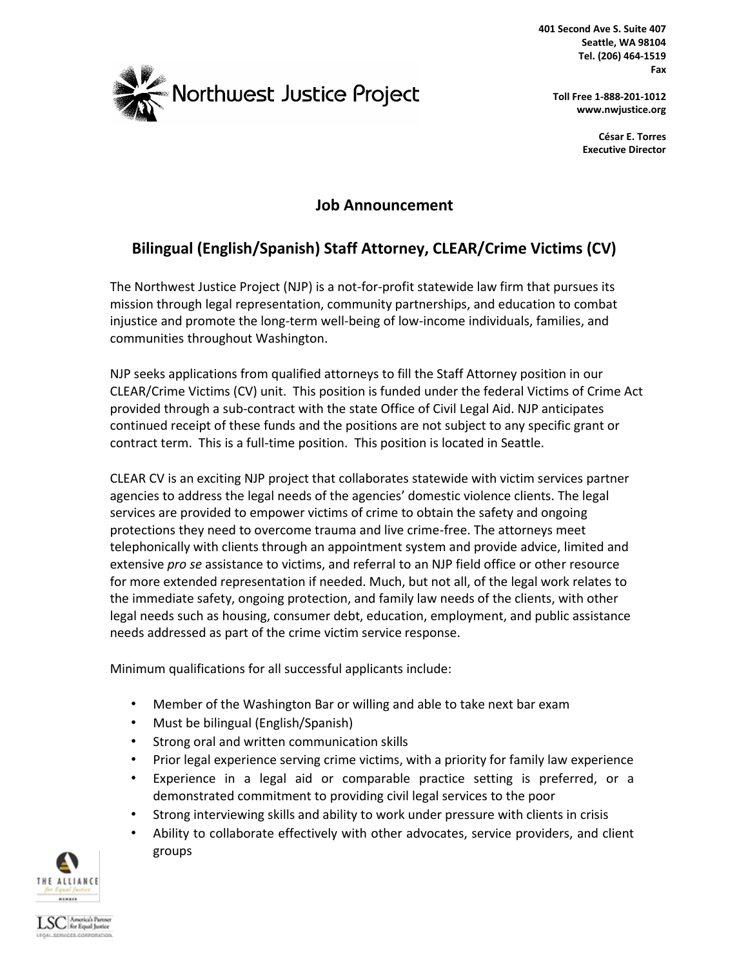

**401 Second Ave S. Suite 407 Seattle, WA 98104 Tel. (206) 464-1519 Fax** 

**Toll Free 1-888-201-1012 www.nwjustice.org**

> **César E. Torres Executive Director**

## **Job Announcement**

# **Bilingual (English/Spanish) Staff Attorney, CLEAR/Crime Victims (CV)**

The Northwest Justice Project (NJP) is a not-for-profit statewide law firm that pursues its mission through legal representation, community partnerships, and education to combat injustice and promote the long-term well-being of low-income individuals, families, and communities throughout Washington.

NJP seeks applications from qualified attorneys to fill the Staff Attorney position in our CLEAR/Crime Victims (CV) unit. This position is funded under the federal Victims of Crime Act provided through a sub-contract with the state Office of Civil Legal Aid. NJP anticipates continued receipt of these funds and the positions are not subject to any specific grant or contract term. This is a full-time position. This position is located in Seattle.

CLEAR CV is an exciting NJP project that collaborates statewide with victim services partner agencies to address the legal needs of the agencies' domestic violence clients. The legal services are provided to empower victims of crime to obtain the safety and ongoing protections they need to overcome trauma and live crime-free. The attorneys meet telephonically with clients through an appointment system and provide advice, limited and extensive *pro se* assistance to victims, and referral to an NJP field office or other resource for more extended representation if needed. Much, but not all, of the legal work relates to the immediate safety, ongoing protection, and family law needs of the clients, with other legal needs such as housing, consumer debt, education, employment, and public assistance needs addressed as part of the crime victim service response.

Minimum qualifications for all successful applicants include:

- Member of the Washington Bar or willing and able to take next bar exam
- Must be bilingual (English/Spanish)
- Strong oral and written communication skills
- Prior legal experience serving crime victims, with a priority for family law experience
- Experience in a legal aid or comparable practice setting is preferred, or a demonstrated commitment to providing civil legal services to the poor
- Strong interviewing skills and ability to work under pressure with clients in crisis
- Ability to collaborate effectively with other advocates, service providers, and client groups



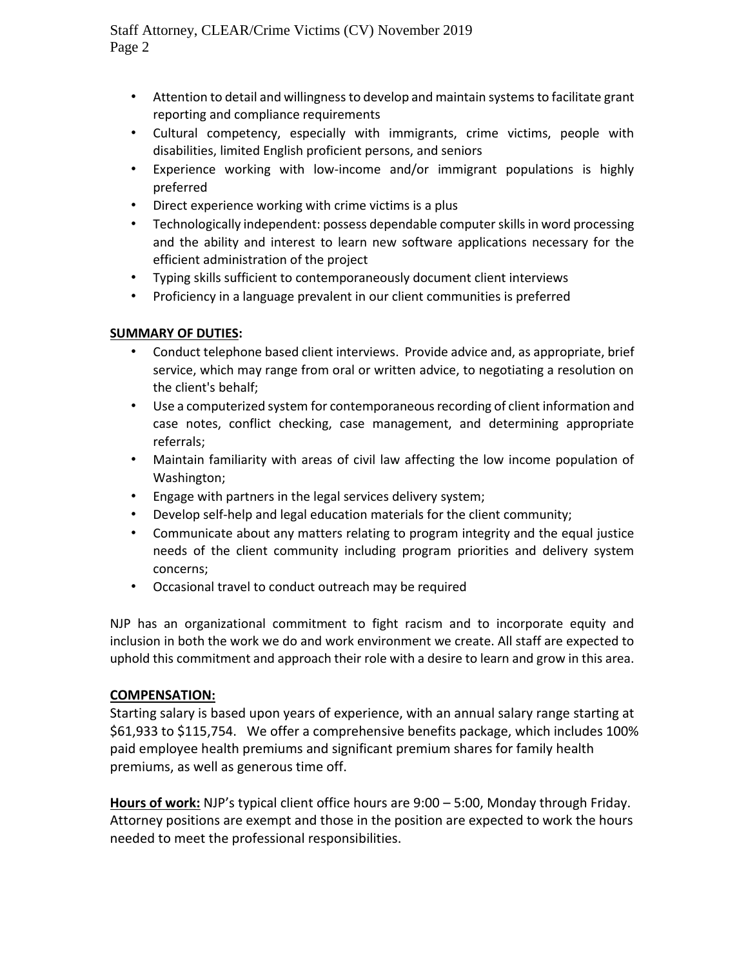Staff Attorney, CLEAR/Crime Victims (CV) November 2019 Page 2

- Attention to detail and willingness to develop and maintain systems to facilitate grant reporting and compliance requirements
- Cultural competency, especially with immigrants, crime victims, people with disabilities, limited English proficient persons, and seniors
- Experience working with low-income and/or immigrant populations is highly preferred
- Direct experience working with crime victims is a plus
- Technologically independent: possess dependable computer skills in word processing and the ability and interest to learn new software applications necessary for the efficient administration of the project
- Typing skills sufficient to contemporaneously document client interviews
- Proficiency in a language prevalent in our client communities is preferred

### **SUMMARY OF DUTIES:**

- Conduct telephone based client interviews. Provide advice and, as appropriate, brief service, which may range from oral or written advice, to negotiating a resolution on the client's behalf;
- Use a computerized system for contemporaneous recording of client information and case notes, conflict checking, case management, and determining appropriate referrals;
- Maintain familiarity with areas of civil law affecting the low income population of Washington;
- Engage with partners in the legal services delivery system;
- Develop self-help and legal education materials for the client community;
- Communicate about any matters relating to program integrity and the equal justice needs of the client community including program priorities and delivery system concerns;
- Occasional travel to conduct outreach may be required

NJP has an organizational commitment to fight racism and to incorporate equity and inclusion in both the work we do and work environment we create. All staff are expected to uphold this commitment and approach their role with a desire to learn and grow in this area.

### **COMPENSATION:**

Starting salary is based upon years of experience, with an annual salary range starting at \$61,933 to \$115,754. We offer a comprehensive benefits package, which includes 100% paid employee health premiums and significant premium shares for family health premiums, as well as generous time off.

**Hours of work:** NJP's typical client office hours are 9:00 – 5:00, Monday through Friday. Attorney positions are exempt and those in the position are expected to work the hours needed to meet the professional responsibilities.